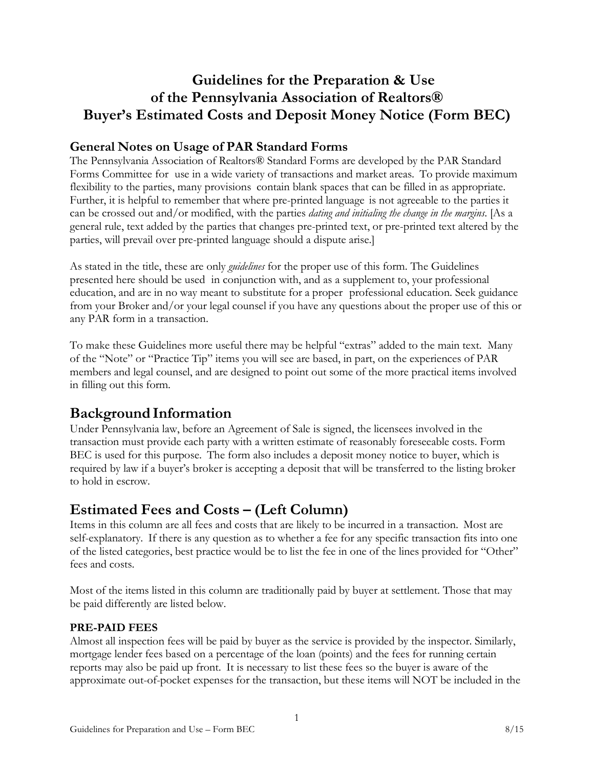# **Guidelines for the Preparation & Use of the Pennsylvania Association of Realtors® Buyer's Estimated Costs and Deposit Money Notice (Form BEC)**

### **General Notes on Usage of PAR Standard Forms**

The Pennsylvania Association of Realtors® Standard Forms are developed by the PAR Standard Forms Committee for use in a wide variety of transactions and market areas. To provide maximum flexibility to the parties, many provisions contain blank spaces that can be filled in as appropriate. Further, it is helpful to remember that where pre-printed language is not agreeable to the parties it can be crossed out and/or modified, with the parties *dating and initialing the change in the margins*. [As a general rule, text added by the parties that changes pre-printed text, or pre-printed text altered by the parties, will prevail over pre-printed language should a dispute arise.]

As stated in the title, these are only *guidelines* for the proper use of this form. The Guidelines presented here should be used in conjunction with, and as a supplement to, your professional education, and are in no way meant to substitute for a proper professional education. Seek guidance from your Broker and/or your legal counsel if you have any questions about the proper use of this or any PAR form in a transaction.

To make these Guidelines more useful there may be helpful "extras" added to the main text. Many of the "Note" or "Practice Tip" items you will see are based, in part, on the experiences of PAR members and legal counsel, and are designed to point out some of the more practical items involved in filling out this form.

### **Background Information**

Under Pennsylvania law, before an Agreement of Sale is signed, the licensees involved in the transaction must provide each party with a written estimate of reasonably foreseeable costs. Form BEC is used for this purpose. The form also includes a deposit money notice to buyer, which is required by law if a buyer's broker is accepting a deposit that will be transferred to the listing broker to hold in escrow.

## **Estimated Fees and Costs – (Left Column)**

Items in this column are all fees and costs that are likely to be incurred in a transaction. Most are self-explanatory. If there is any question as to whether a fee for any specific transaction fits into one of the listed categories, best practice would be to list the fee in one of the lines provided for "Other" fees and costs.

Most of the items listed in this column are traditionally paid by buyer at settlement. Those that may be paid differently are listed below.

#### **PRE-PAID FEES**

Almost all inspection fees will be paid by buyer as the service is provided by the inspector. Similarly, mortgage lender fees based on a percentage of the loan (points) and the fees for running certain reports may also be paid up front. It is necessary to list these fees so the buyer is aware of the approximate out-of-pocket expenses for the transaction, but these items will NOT be included in the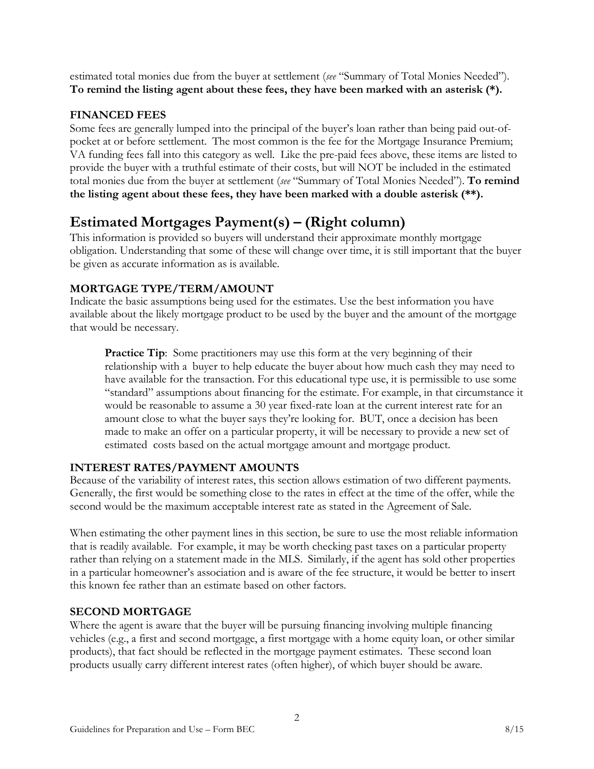estimated total monies due from the buyer at settlement (*see* "Summary of Total Monies Needed"). **To remind the listing agent about these fees, they have been marked with an asterisk (\*).**

#### **FINANCED FEES**

Some fees are generally lumped into the principal of the buyer's loan rather than being paid out-ofpocket at or before settlement. The most common is the fee for the Mortgage Insurance Premium; VA funding fees fall into this category as well. Like the pre-paid fees above, these items are listed to provide the buyer with a truthful estimate of their costs, but will NOT be included in the estimated total monies due from the buyer at settlement (*see* "Summary of Total Monies Needed"). **To remind the listing agent about these fees, they have been marked with a double asterisk (\*\*).**

# **Estimated Mortgages Payment(s) – (Right column)**

This information is provided so buyers will understand their approximate monthly mortgage obligation. Understanding that some of these will change over time, it is still important that the buyer be given as accurate information as is available.

#### **MORTGAGE TYPE/TERM/AMOUNT**

Indicate the basic assumptions being used for the estimates. Use the best information you have available about the likely mortgage product to be used by the buyer and the amount of the mortgage that would be necessary.

**Practice Tip**: Some practitioners may use this form at the very beginning of their relationship with a buyer to help educate the buyer about how much cash they may need to have available for the transaction. For this educational type use, it is permissible to use some "standard" assumptions about financing for the estimate. For example, in that circumstance it would be reasonable to assume a 30 year fixed-rate loan at the current interest rate for an amount close to what the buyer says they're looking for. BUT, once a decision has been made to make an offer on a particular property, it will be necessary to provide a new set of estimated costs based on the actual mortgage amount and mortgage product.

#### **INTEREST RATES/PAYMENT AMOUNTS**

Because of the variability of interest rates, this section allows estimation of two different payments. Generally, the first would be something close to the rates in effect at the time of the offer, while the second would be the maximum acceptable interest rate as stated in the Agreement of Sale.

When estimating the other payment lines in this section, be sure to use the most reliable information that is readily available. For example, it may be worth checking past taxes on a particular property rather than relying on a statement made in the MLS. Similarly, if the agent has sold other properties in a particular homeowner's association and is aware of the fee structure, it would be better to insert this known fee rather than an estimate based on other factors.

### **SECOND MORTGAGE**

Where the agent is aware that the buyer will be pursuing financing involving multiple financing vehicles (e.g., a first and second mortgage, a first mortgage with a home equity loan, or other similar products), that fact should be reflected in the mortgage payment estimates. These second loan products usually carry different interest rates (often higher), of which buyer should be aware.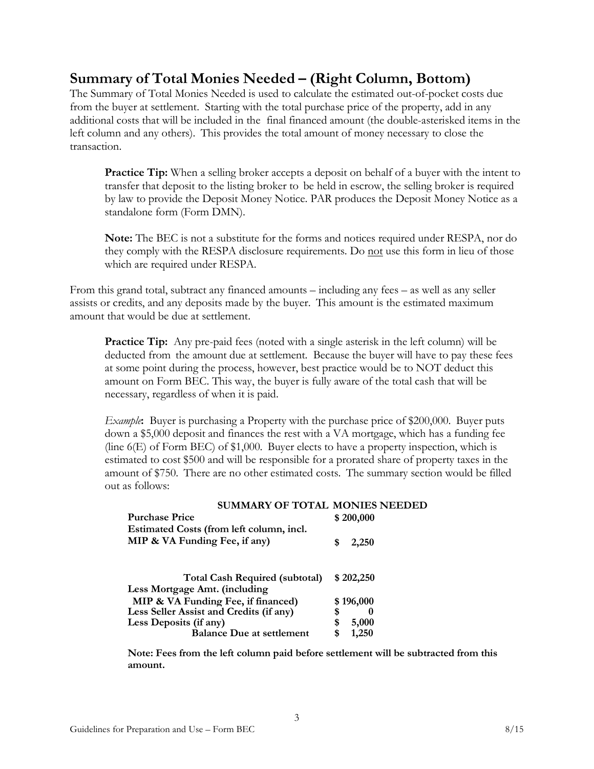### **Summary of Total Monies Needed – (Right Column, Bottom)**

The Summary of Total Monies Needed is used to calculate the estimated out-of-pocket costs due from the buyer at settlement. Starting with the total purchase price of the property, add in any additional costs that will be included in the final financed amount (the double-asterisked items in the left column and any others). This provides the total amount of money necessary to close the transaction.

**Practice Tip:** When a selling broker accepts a deposit on behalf of a buyer with the intent to transfer that deposit to the listing broker to be held in escrow, the selling broker is required by law to provide the Deposit Money Notice. PAR produces the Deposit Money Notice as a standalone form (Form DMN).

**Note:** The BEC is not a substitute for the forms and notices required under RESPA, nor do they comply with the RESPA disclosure requirements. Do not use this form in lieu of those which are required under RESPA.

From this grand total, subtract any financed amounts – including any fees – as well as any seller assists or credits, and any deposits made by the buyer. This amount is the estimated maximum amount that would be due at settlement.

Practice Tip: Any pre-paid fees (noted with a single asterisk in the left column) will be deducted from the amount due at settlement. Because the buyer will have to pay these fees at some point during the process, however, best practice would be to NOT deduct this amount on Form BEC. This way, the buyer is fully aware of the total cash that will be necessary, regardless of when it is paid.

*Example***:** Buyer is purchasing a Property with the purchase price of \$200,000. Buyer puts down a \$5,000 deposit and finances the rest with a VA mortgage, which has a funding fee (line 6(E) of Form BEC) of \$1,000. Buyer elects to have a property inspection, which is estimated to cost \$500 and will be responsible for a prorated share of property taxes in the amount of \$750. There are no other estimated costs. The summary section would be filled out as follows:

| <b>SUMMARY OF TOTAL MONIES NEEDED</b>    |             |
|------------------------------------------|-------------|
| <b>Purchase Price</b>                    | \$200,000   |
| Estimated Costs (from left column, incl. |             |
| MIP & VA Funding Fee, if any)            | 2,250<br>S  |
|                                          |             |
| <b>Total Cash Required (subtotal)</b>    | \$202,250   |
| Less Mortgage Amt. (including            |             |
| MIP & VA Funding Fee, if financed)       | \$196,000   |
| Less Seller Assist and Credits (if any)  | \$          |
| Less Deposits (if any)                   | 5,000<br>\$ |
| <b>Balance Due at settlement</b>         | 1,250<br>\$ |
|                                          |             |

**Note: Fees from the left column paid before settlement will be subtracted from this amount.**